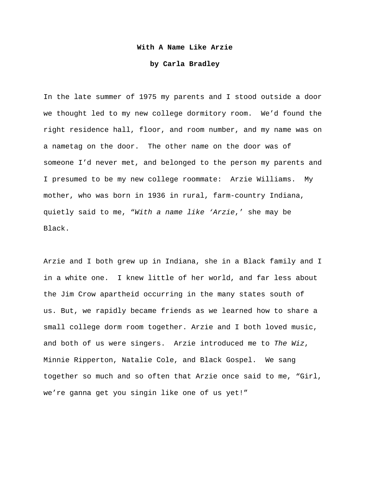## **With A Name Like Arzie**

## **by Carla Bradley**

In the late summer of 1975 my parents and I stood outside a door we thought led to my new college dormitory room. We'd found the right residence hall, floor, and room number, and my name was on a nametag on the door. The other name on the door was of someone I'd never met, and belonged to the person my parents and I presumed to be my new college roommate: Arzie Williams. My mother, who was born in 1936 in rural, farm-country Indiana, quietly said to me, "*With a name like 'Arzie*,' she may be Black.

Arzie and I both grew up in Indiana, she in a Black family and I in a white one. I knew little of her world, and far less about the Jim Crow apartheid occurring in the many states south of us. But, we rapidly became friends as we learned how to share a small college dorm room together. Arzie and I both loved music, and both of us were singers. Arzie introduced me to *The Wiz*, Minnie Ripperton, Natalie Cole, and Black Gospel. We sang together so much and so often that Arzie once said to me, "Girl, we're ganna get you singin like one of us yet!"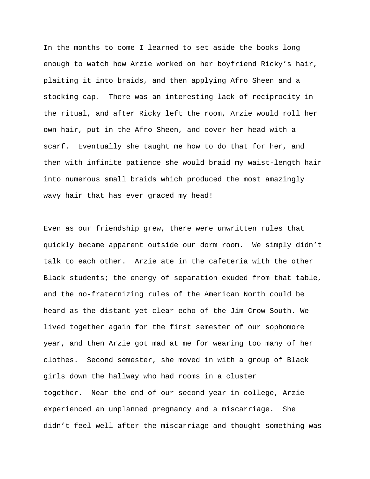In the months to come I learned to set aside the books long enough to watch how Arzie worked on her boyfriend Ricky's hair, plaiting it into braids, and then applying Afro Sheen and a stocking cap. There was an interesting lack of reciprocity in the ritual, and after Ricky left the room, Arzie would roll her own hair, put in the Afro Sheen, and cover her head with a scarf. Eventually she taught me how to do that for her, and then with infinite patience she would braid my waist-length hair into numerous small braids which produced the most amazingly wavy hair that has ever graced my head!

Even as our friendship grew, there were unwritten rules that quickly became apparent outside our dorm room. We simply didn't talk to each other. Arzie ate in the cafeteria with the other Black students; the energy of separation exuded from that table, and the no-fraternizing rules of the American North could be heard as the distant yet clear echo of the Jim Crow South. We lived together again for the first semester of our sophomore year, and then Arzie got mad at me for wearing too many of her clothes. Second semester, she moved in with a group of Black girls down the hallway who had rooms in a cluster together. Near the end of our second year in college, Arzie experienced an unplanned pregnancy and a miscarriage. She didn't feel well after the miscarriage and thought something was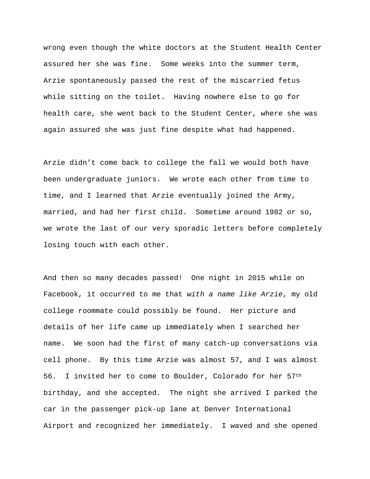wrong even though the white doctors at the Student Health Center assured her she was fine. Some weeks into the summer term, Arzie spontaneously passed the rest of the miscarried fetus while sitting on the toilet. Having nowhere else to go for health care, she went back to the Student Center, where she was again assured she was just fine despite what had happened.

Arzie didn't come back to college the fall we would both have been undergraduate juniors. We wrote each other from time to time, and I learned that Arzie eventually joined the Army, married, and had her first child. Sometime around 1982 or so, we wrote the last of our very sporadic letters before completely losing touch with each other.

And then so many decades passed! One night in 2015 while on Facebook, it occurred to me that *with a name like Arzie*, my old college roommate could possibly be found. Her picture and details of her life came up immediately when I searched her name. We soon had the first of many catch-up conversations via cell phone. By this time Arzie was almost 57, and I was almost 56. I invited her to come to Boulder, Colorado for her 57th birthday, and she accepted. The night she arrived I parked the car in the passenger pick-up lane at Denver International Airport and recognized her immediately. I waved and she opened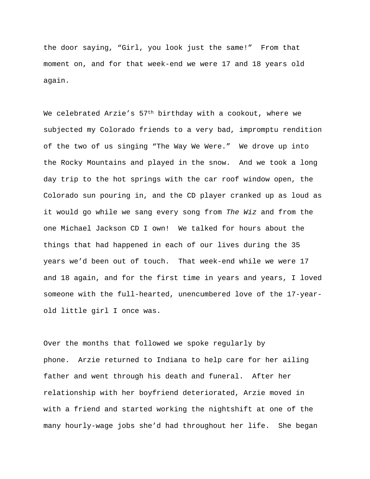the door saying, "Girl, you look just the same!" From that moment on, and for that week-end we were 17 and 18 years old again.

We celebrated Arzie's  $57<sup>th</sup>$  birthday with a cookout, where we subjected my Colorado friends to a very bad, impromptu rendition of the two of us singing "The Way We Were." We drove up into the Rocky Mountains and played in the snow. And we took a long day trip to the hot springs with the car roof window open, the Colorado sun pouring in, and the CD player cranked up as loud as it would go while we sang every song from *The Wiz* and from the one Michael Jackson CD I own! We talked for hours about the things that had happened in each of our lives during the 35 years we'd been out of touch. That week-end while we were 17 and 18 again, and for the first time in years and years, I loved someone with the full-hearted, unencumbered love of the 17-yearold little girl I once was.

Over the months that followed we spoke regularly by phone. Arzie returned to Indiana to help care for her ailing father and went through his death and funeral. After her relationship with her boyfriend deteriorated, Arzie moved in with a friend and started working the nightshift at one of the many hourly-wage jobs she'd had throughout her life. She began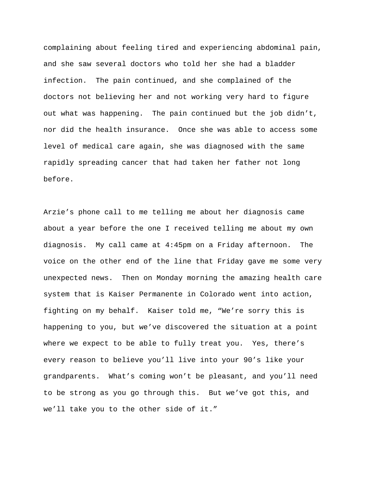complaining about feeling tired and experiencing abdominal pain, and she saw several doctors who told her she had a bladder infection. The pain continued, and she complained of the doctors not believing her and not working very hard to figure out what was happening. The pain continued but the job didn't, nor did the health insurance. Once she was able to access some level of medical care again, she was diagnosed with the same rapidly spreading cancer that had taken her father not long before.

Arzie's phone call to me telling me about her diagnosis came about a year before the one I received telling me about my own diagnosis. My call came at 4:45pm on a Friday afternoon. The voice on the other end of the line that Friday gave me some very unexpected news. Then on Monday morning the amazing health care system that is Kaiser Permanente in Colorado went into action, fighting on my behalf. Kaiser told me, "We're sorry this is happening to you, but we've discovered the situation at a point where we expect to be able to fully treat you. Yes, there's every reason to believe you'll live into your 90's like your grandparents. What's coming won't be pleasant, and you'll need to be strong as you go through this. But we've got this, and we'll take you to the other side of it."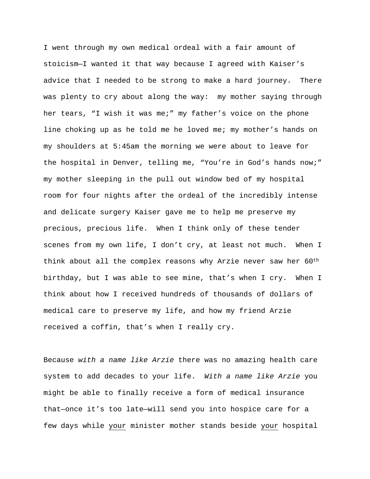I went through my own medical ordeal with a fair amount of stoicism—I wanted it that way because I agreed with Kaiser's advice that I needed to be strong to make a hard journey. There was plenty to cry about along the way: my mother saying through her tears, "I wish it was me;" my father's voice on the phone line choking up as he told me he loved me; my mother's hands on my shoulders at 5:45am the morning we were about to leave for the hospital in Denver, telling me, "You're in God's hands now;" my mother sleeping in the pull out window bed of my hospital room for four nights after the ordeal of the incredibly intense and delicate surgery Kaiser gave me to help me preserve my precious, precious life. When I think only of these tender scenes from my own life, I don't cry, at least not much. When I think about all the complex reasons why Arzie never saw her 60th birthday, but I was able to see mine, that's when I cry. When I think about how I received hundreds of thousands of dollars of medical care to preserve my life, and how my friend Arzie received a coffin, that's when I really cry.

Because *with a name like Arzie* there was no amazing health care system to add decades to your life. *With a name like Arzie* you might be able to finally receive a form of medical insurance that—once it's too late—will send you into hospice care for a few days while your minister mother stands beside your hospital